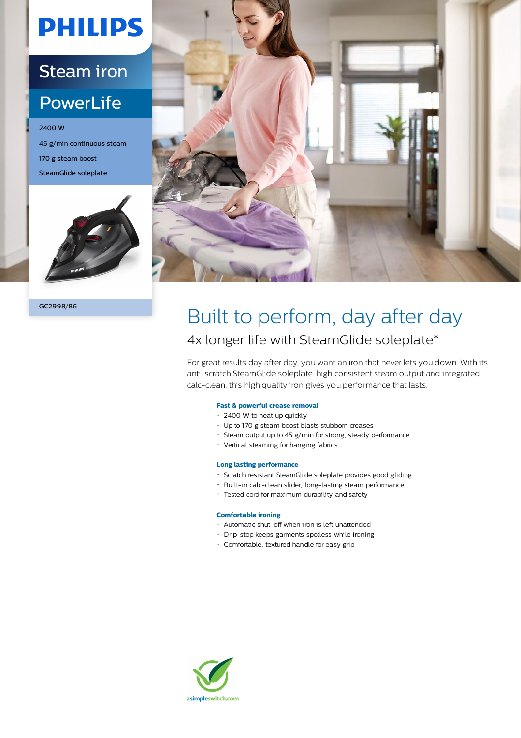# **PHILIPS**

### Steam iron

### **PowerLife**

2400 W 45 g/min continuous steam 170 g steam boost SteamGlide soleplate



GC2998/86



## Built to perform, day after day 4x longer life with SteamGlide soleplate\*

For great results day after day, you want an iron that never lets you down. With its anti-scratch SteamGlide soleplate, high consistent steam output and integrated calc-clean, this high quality iron gives you performance that lasts.

#### **Fast & powerful crease removal**

- 2400 W to heat up quickly
- Up to 170 g steam boost blasts stubborn creases
- Steam output up to 45 g/min for strong, steady performance
- Vertical steaming for hanging fabrics

#### **Long lasting performance**

- Scratch resistant SteamGlide soleplate provides good gliding
- Built-in calc-clean slider, long-lasting steam performance
- Tested cord for maximum durability and safety

#### **Comfortable ironing**

- Automatic shut-off when iron is left unattended
- Drip-stop keeps garments spotless while ironing
- Comfortable, textured handle for easy grip

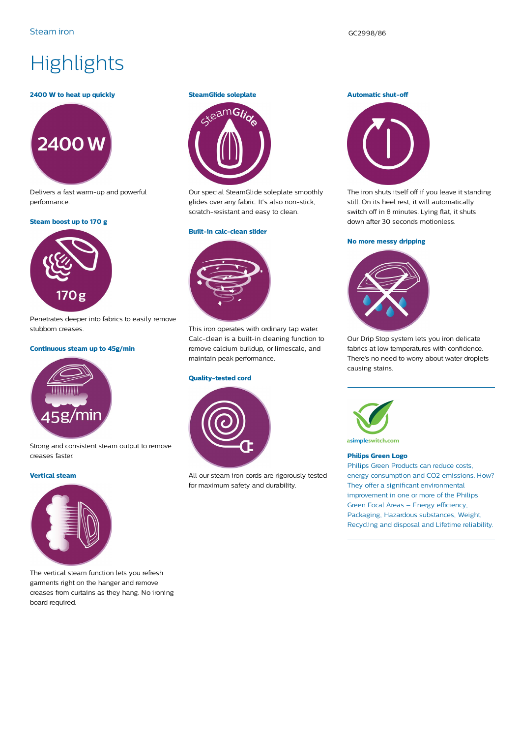## **Highlights**

#### **2400 W to heat up quickly**



Delivers a fast warm-up and powerful performance.

#### **Steam boost up to 170 g**



Penetrates deeper into fabrics to easily remove stubborn creases.

#### **Continuous steam up to 45g/min**



Strong and consistent steam output to remove creases faster.

#### **Vertical steam**



The vertical steam function lets you refresh garments right on the hanger and remove creases from curtains as they hang. No ironing board required.

#### **SteamGlide soleplate**



Our special SteamGlide soleplate smoothly glides over any fabric. It's also non-stick, scratch-resistant and easy to clean.

#### **Built-in calc-clean slider**



This iron operates with ordinary tap water. Calc-clean is a built-in cleaning function to remove calcium buildup, or limescale, and maintain peak performance.

#### **Quality-tested cord**



All our steam iron cords are rigorously tested for maximum safety and durability.

#### **Automatic shut-off**



The iron shuts itself off if you leave it standing still. On its heel rest, it will automatically switch off in 8 minutes. Lying flat, it shuts down after 30 seconds motionless.

#### **No more messy dripping**



Our Drip Stop system lets you iron delicate fabrics at low temperatures with confidence. There's no need to worry about water droplets causing stains.



asimpleswitch.com

#### **Philips Green Logo**

Philips Green Products can reduce costs, energy consumption and CO2 emissions. How? They offer a significant environmental improvement in one or more of the Philips Green Focal Areas – Energy efficiency, Packaging, Hazardous substances, Weight, Recycling and disposal and Lifetime reliability.